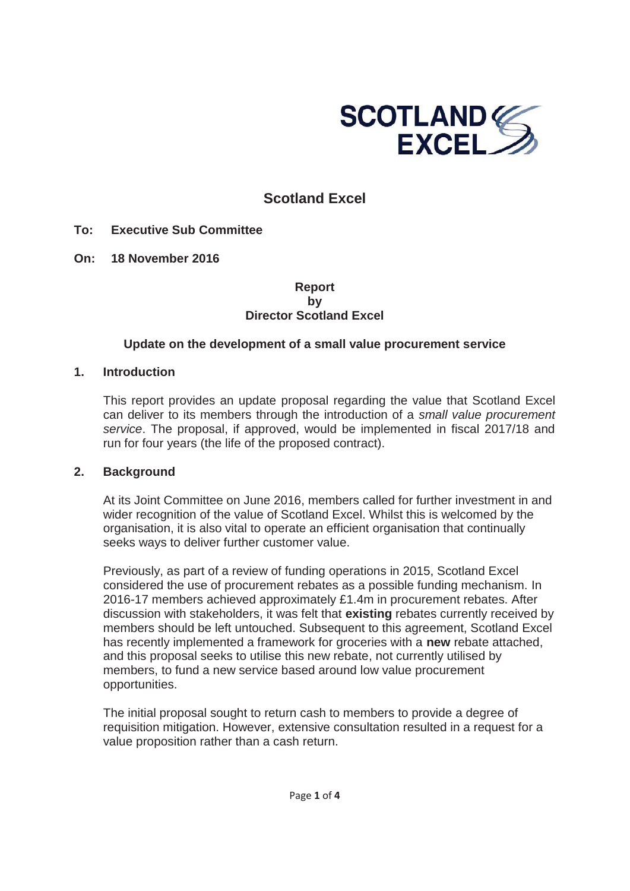

# **Scotland Excel**

- **To: Executive Sub Committee**
- **On: 18 November 2016**

## **Report by Director Scotland Excel**

## **Update on the development of a small value procurement service**

## **1. Introduction**

This report provides an update proposal regarding the value that Scotland Excel can deliver to its members through the introduction of a *small value procurement service*. The proposal, if approved, would be implemented in fiscal 2017/18 and run for four years (the life of the proposed contract).

#### **2. Background**

At its Joint Committee on June 2016, members called for further investment in and wider recognition of the value of Scotland Excel. Whilst this is welcomed by the organisation, it is also vital to operate an efficient organisation that continually seeks ways to deliver further customer value.

Previously, as part of a review of funding operations in 2015, Scotland Excel considered the use of procurement rebates as a possible funding mechanism. In 2016-17 members achieved approximately £1.4m in procurement rebates. After discussion with stakeholders, it was felt that **existing** rebates currently received by members should be left untouched. Subsequent to this agreement, Scotland Excel has recently implemented a framework for groceries with a **new** rebate attached, and this proposal seeks to utilise this new rebate, not currently utilised by members, to fund a new service based around low value procurement opportunities.

The initial proposal sought to return cash to members to provide a degree of requisition mitigation. However, extensive consultation resulted in a request for a value proposition rather than a cash return.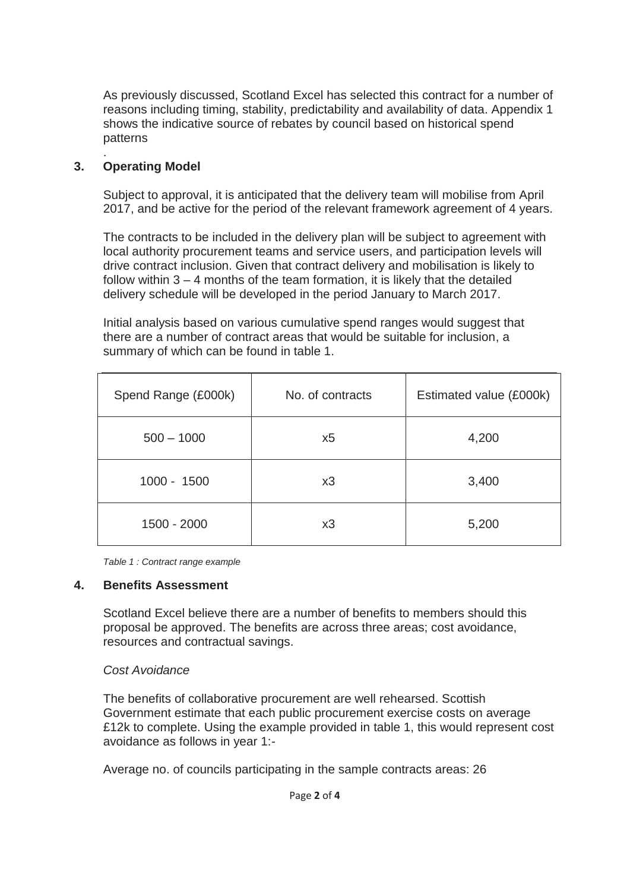As previously discussed, Scotland Excel has selected this contract for a number of reasons including timing, stability, predictability and availability of data. Appendix 1 shows the indicative source of rebates by council based on historical spend patterns

#### . **3. Operating Model**

Subject to approval, it is anticipated that the delivery team will mobilise from April 2017, and be active for the period of the relevant framework agreement of 4 years.

The contracts to be included in the delivery plan will be subject to agreement with local authority procurement teams and service users, and participation levels will drive contract inclusion. Given that contract delivery and mobilisation is likely to follow within 3 – 4 months of the team formation, it is likely that the detailed delivery schedule will be developed in the period January to March 2017.

Initial analysis based on various cumulative spend ranges would suggest that there are a number of contract areas that would be suitable for inclusion, a summary of which can be found in table 1.

| Spend Range (£000k) | No. of contracts | Estimated value (£000k) |
|---------------------|------------------|-------------------------|
| $500 - 1000$        | x5               | 4,200                   |
| $1000 - 1500$       | x3               | 3,400                   |
| 1500 - 2000         | x3               | 5,200                   |

*Table 1 : Contract range example* 

#### **4. Benefits Assessment**

Scotland Excel believe there are a number of benefits to members should this proposal be approved. The benefits are across three areas; cost avoidance, resources and contractual savings.

## *Cost Avoidance*

The benefits of collaborative procurement are well rehearsed. Scottish Government estimate that each public procurement exercise costs on average £12k to complete. Using the example provided in table 1, this would represent cost avoidance as follows in year 1:-

Average no. of councils participating in the sample contracts areas: 26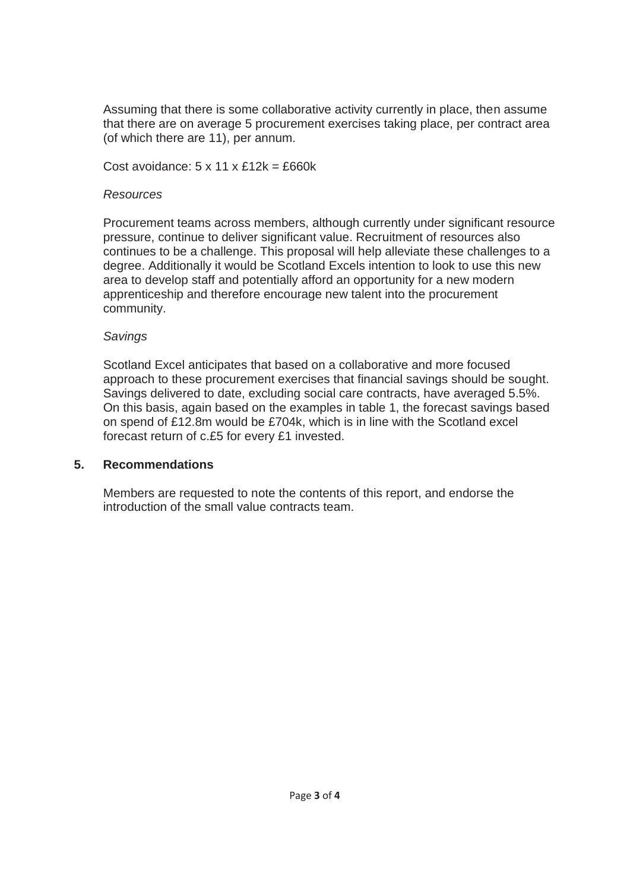Assuming that there is some collaborative activity currently in place, then assume that there are on average 5 procurement exercises taking place, per contract area (of which there are 11), per annum.

Cost avoidance:  $5 \times 11 \times £12k = £660k$ 

## *Resources*

Procurement teams across members, although currently under significant resource pressure, continue to deliver significant value. Recruitment of resources also continues to be a challenge. This proposal will help alleviate these challenges to a degree. Additionally it would be Scotland Excels intention to look to use this new area to develop staff and potentially afford an opportunity for a new modern apprenticeship and therefore encourage new talent into the procurement community.

## *Savings*

Scotland Excel anticipates that based on a collaborative and more focused approach to these procurement exercises that financial savings should be sought. Savings delivered to date, excluding social care contracts, have averaged 5.5%. On this basis, again based on the examples in table 1, the forecast savings based on spend of £12.8m would be £704k, which is in line with the Scotland excel forecast return of c.£5 for every £1 invested.

#### **5. Recommendations**

Members are requested to note the contents of this report, and endorse the introduction of the small value contracts team.